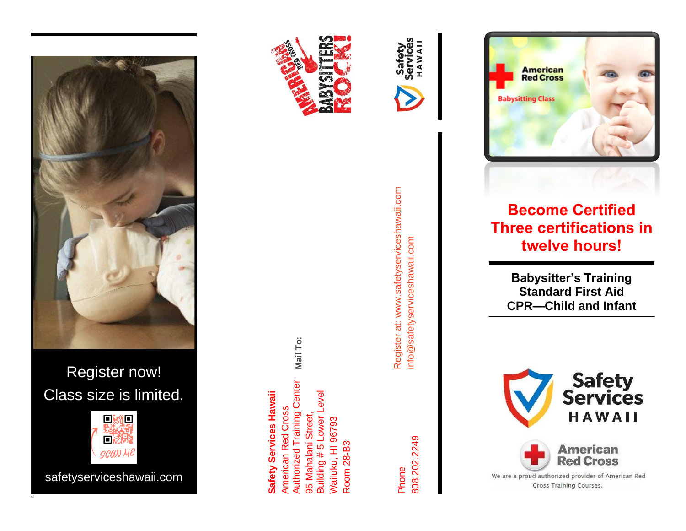



**Mail To:**

95 Mahalani Street, Building # 5 Lower Level

95 Mahalani Street,

Building #5 Lower Level

**Authorized Training Center** 

Wailuku, HI 96793 Room 28-B3

Vailuku, HI 96793

**Safety Services Hawaii** American Red Cross Authorized Training Center

**American Red Cross** 

**Safety Services Hawaii** 



Phone 808.202.2249

Register at: www.safetyserviceshawaii.com Register at: www.safetyserviceshawaii.com info@safetyserviceshawaii.com info@safetyserviceshawaii.com

HAWAI

Safety Servi



**American Red Cross Babysitting Class** 

**Become Certified Three certifications in twelve hours!**

> **Babysitter's Training Standard First Aid CPR —Child and Infant**

**Safety<br>Services** HAWAII **American Red Cross** We are a proud authorized provider of American Red Cross Training Courses.

回数值 **SCAN ME** 

首瀬

Class size is limited.

safetyserviceshawaii.com

cl